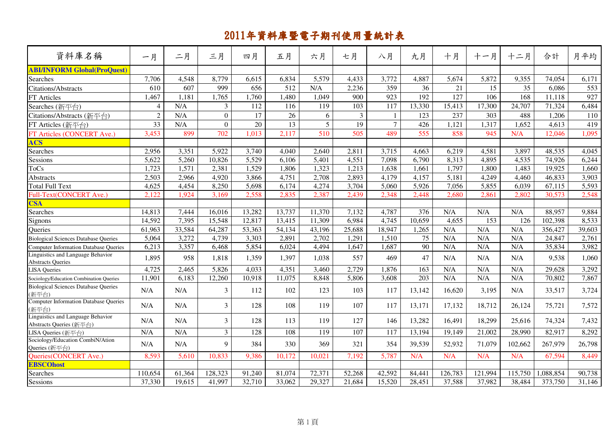| 資料庫名稱                                                         | 一月             | 二月     | 三月             | 四月     | 五月     | 六月              | 七月             | 八月             | 九月     | 十月      | 十一月     | 十二月     | 合計        | 月平均    |
|---------------------------------------------------------------|----------------|--------|----------------|--------|--------|-----------------|----------------|----------------|--------|---------|---------|---------|-----------|--------|
| <b>ABI/INFORM Global(ProQuest)</b>                            |                |        |                |        |        |                 |                |                |        |         |         |         |           |        |
| <b>Searches</b>                                               | 7,706          | 4,548  | 8,779          | 6,615  | 6,834  | 5,579           | 4,433          | 3,772          | 4,887  | 5,674   | 5,872   | 9,355   | 74,054    | 6,171  |
| <b>Citations/Abstracts</b>                                    | 610            | 607    | 999            | 656    | 512    | N/A             | 2,236          | 359            | 36     | 21      | 15      | 35      | 6,086     | 553    |
| FT Articles                                                   | 1,467          | 1,181  | 1,765          | 1,760  | 1,480  | 1,049           | 900            | 923            | 192    | 127     | 106     | 168     | 11,118    | 927    |
| Searches (新平台)                                                | $\overline{4}$ | N/A    | 3              | 112    | 116    | 119             | 103            | 117            | 13,330 | 15,413  | 17,300  | 24,707  | 71,324    | 6,484  |
| Citations/Abstracts (新平台)                                     | $\overline{2}$ | N/A    | $\mathbf{0}$   | 17     | 26     | 6               | $\overline{3}$ | 1              | 123    | 237     | 303     | 488     | 1,206     | 110    |
| FT Articles (新平台)                                             | 33             | N/A    | $\mathbf{0}$   | 20     | 13     | $5\overline{)}$ | 19             | $\overline{7}$ | 426    | 1,121   | 1,317   | 1,652   | 4,613     | 419    |
| FT Articles (CONCERT Ave.)                                    | 3,453          | 899    | 702            | 1,013  | 2,117  | 510             | 505            | 489            | 555    | 858     | 945     | N/A     | 12,046    | 1,095  |
| <b>ACS</b>                                                    |                |        |                |        |        |                 |                |                |        |         |         |         |           |        |
| Searches                                                      | 2,956          | 3,351  | 5,922          | 3,740  | 4,040  | 2,640           | 2,811          | 3,715          | 4,663  | 6,219   | 4,581   | 3,897   | 48,535    | 4,045  |
| Sessions                                                      | 5,622          | 5,260  | 10,826         | 5,529  | 6,106  | 5,401           | 4,551          | 7,098          | 6,790  | 8,313   | 4,895   | 4,535   | 74,926    | 6,244  |
| <b>ToCs</b>                                                   | 1,723          | 1,571  | 2,381          | 1,529  | 1,806  | 1,323           | 1,213          | 1,638          | 1,661  | 1,797   | 1,800   | 1,483   | 19,925    | 1,660  |
| Abstracts                                                     | 2,503          | 2,966  | 4,920          | 3,866  | 4,751  | 2,708           | 2,893          | 4,179          | 4,157  | 5,181   | 4,249   | 4,460   | 46,833    | 3,903  |
| Total Full Text                                               | 4,625          | 4,454  | 8,250          | 5,698  | 6,174  | 4,274           | 3,704          | 5,060          | 5,926  | 7,056   | 5,855   | 6,039   | 67,115    | 5,593  |
| Full-Text(CONCERT Ave.)                                       | 2,122          | 1,924  | 3,169          | 2,558  | 2,835  | 2,387           | 2,439          | 2,348          | 2,448  | 2,680   | 2,861   | 2,802   | 30,573    | 2,548  |
| <b>CSA</b>                                                    |                |        |                |        |        |                 |                |                |        |         |         |         |           |        |
| Searches                                                      | 14,813         | 7,444  | 16,016         | 13,282 | 13,737 | 11,370          | 7,132          | 4,787          | 376    | N/A     | N/A     | N/A     | 88,957    | 9,884  |
| Signons                                                       | 14,592         | 7,395  | 15,548         | 12,817 | 13,415 | 11,309          | 6,984          | 4,745          | 10,659 | 4,655   | 153     | 126     | 102,398   | 8,533  |
| <b>Oueries</b>                                                | 61,963         | 33,584 | 64,287         | 53,363 | 54,134 | 43,196          | 25,688         | 18,947         | 1,265  | N/A     | N/A     | N/A     | 356,427   | 39,603 |
| <b>Biological Sciences Database Queries</b>                   | 5,064          | 3,272  | 4,739          | 3,303  | 2,891  | 2,702           | 1,291          | 1,510          | 75     | N/A     | N/A     | N/A     | 24,847    | 2,761  |
| <b>Computer Information Database Queries</b>                  | 6,213          | 3,357  | 6,468          | 5,854  | 6,024  | 4,494           | 1,647          | 1,687          | 90     | N/A     | N/A     | N/A     | 35,834    | 3,982  |
| Linguistics and Language Behavior<br><b>Abstracts Queries</b> | 1,895          | 958    | 1,818          | 1,359  | 1,397  | 1,038           | 557            | 469            | 47     | N/A     | N/A     | N/A     | 9,538     | 1,060  |
| <b>LISA</b> Queries                                           | 4,725          | 2,465  | 5,826          | 4,033  | 4,351  | 3,460           | 2,729          | 1,876          | 163    | N/A     | N/A     | N/A     | 29,628    | 3,292  |
| Sociology/Education Combination Queries                       | 11,901         | 6,183  | 12,260         | 10,918 | 11,075 | 8,848           | 5,806          | 3,608          | 203    | N/A     | N/A     | N/A     | 70,802    | 7,867  |
| <b>Biological Sciences Database Queries</b><br>(新平台)          | N/A            | N/A    | 3              | 112    | 102    | 123             | 103            | 117            | 13.142 | 16.620  | 3,195   | N/A     | 33,517    | 3,724  |
| <b>Computer Information Database Queries</b><br>(新平台)         | N/A            | N/A    | 3              | 128    | 108    | 119             | 107            | 117            | 13,171 | 17,132  | 18,712  | 26,124  | 75,721    | 7,572  |
| Linguistics and Language Behavior<br>Abstracts Queries (新平台)  | N/A            | N/A    | $\overline{3}$ | 128    | 113    | 119             | 127            | 146            | 13,282 | 16,491  | 18,299  | 25,616  | 74,324    | 7,432  |
| LISA Queries (新平台)                                            | N/A            | N/A    | $\overline{3}$ | 128    | 108    | 119             | 107            | 117            | 13,194 | 19,149  | 21,002  | 28,990  | 82,917    | 8,292  |
| Sociology/Education CombiN/Ation<br>Queries (新平台)             | N/A            | N/A    | 9              | 384    | 330    | 369             | 321            | 354            | 39,539 | 52,932  | 71,079  | 102,662 | 267,979   | 26,798 |
| Queries(CONCERT Ave.)                                         | 8,593          | 5,610  | 10,833         | 9,386  | 10,172 | 10,021          | 7,192          | 5,787          | N/A    | N/A     | N/A     | N/A     | 67,594    | 8,449  |
| <b>EBSCOhost</b>                                              |                |        |                |        |        |                 |                |                |        |         |         |         |           |        |
| <b>Searches</b>                                               | 110,654        | 61,364 | 128,323        | 91,240 | 81,074 | 72,371          | 52,268         | 42,592         | 84,441 | 126,783 | 121,994 | 115,750 | 1,088,854 | 90,738 |
| Sessions                                                      | 37,330         | 19,615 | 41,997         | 32,710 | 33,062 | 29,327          | 21,684         | 15,520         | 28,451 | 37,588  | 37,982  | 38,484  | 373,750   | 31,146 |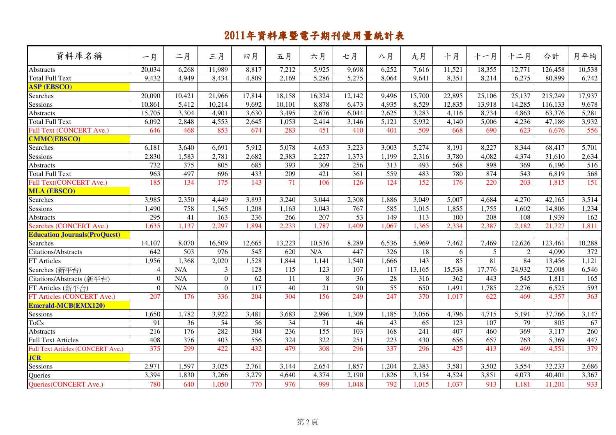| 資料庫名稱                                    | 一月               | 二月               | 三月           | 四月     | 五月     | 六月               | 七月               | 八月    | 九月               | 十月     | 十一月    | 十二月    | 合計      | 月平均    |
|------------------------------------------|------------------|------------------|--------------|--------|--------|------------------|------------------|-------|------------------|--------|--------|--------|---------|--------|
| <b>Abstracts</b>                         | 20,034           | 6,268            | 11,989       | 8,817  | 7,212  | 5,925            | 9,698            | 6,252 | 7,616            | 11,521 | 18,355 | 12,771 | 126,458 | 10,538 |
| <b>Total Full Text</b>                   | 9,432            | 4,949            | 8,434        | 4,809  | 2,169  | 5,286            | 5,275            | 8,064 | 9,641            | 8.351  | 8,214  | 6,275  | 80.899  | 6,742  |
| <b>ASP (EBSCO)</b>                       |                  |                  |              |        |        |                  |                  |       |                  |        |        |        |         |        |
| Searches                                 | 20,090           | 10,421           | 21,966       | 17,814 | 18,158 | 16,324           | 12,142           | 9,496 | 15,700           | 22,895 | 25,106 | 25,137 | 215,249 | 17,937 |
| Sessions                                 | 10,861           | 5,412            | 10,214       | 9,692  | 10,101 | 8,878            | 6,473            | 4,935 | 8,529            | 12,835 | 13,918 | 14,285 | 116,133 | 9,678  |
| Abstracts                                | 15,705           | 3,304            | 4,901        | 3,630  | 3,495  | 2,676            | 6,044            | 2,625 | 3,283            | 4,116  | 8,734  | 4,863  | 63,376  | 5,281  |
| <b>Total Full Text</b>                   | 6,092            | 2,848            | 4,553        | 2,645  | 1,053  | 2,414            | 3,146            | 5,121 | 5,932            | 4,140  | 5,006  | 4,236  | 47,186  | 3,932  |
| <b>Full Text (CONCERT Ave.)</b>          | 646              | 468              | 853          | 674    | 283    | 451              | 410              | 401   | 509              | 668    | 690    | 623    | 6,676   | 556    |
| <b>CMMC(EBSCO)</b>                       |                  |                  |              |        |        |                  |                  |       |                  |        |        |        |         |        |
| Searches                                 | 6,181            | 3,640            | 6,691        | 5,912  | 5,078  | 4,653            | 3,223            | 3,003 | 5,274            | 8,191  | 8,227  | 8,344  | 68,417  | 5,701  |
| Sessions                                 | 2,830            | 1,583            | 2,781        | 2,682  | 2,383  | 2,227            | 1,373            | 1,199 | 2,316            | 3,780  | 4,082  | 4,374  | 31,610  | 2,634  |
| Abstracts                                | 732              | $\frac{375}{ }$  | 805          | 685    | 393    | 309              | 256              | 313   | 493              | 568    | 898    | 369    | 6,196   | 516    |
| <b>Total Full Text</b>                   | 963              | 497              | 696          | 433    | 209    | 421              | 361              | 559   | 483              | 780    | 874    | 543    | 6,819   | 568    |
| Full Text(CONCERT Ave.)                  | 185              | 134              | 175          | 143    | 71     | 106              | 126              | 124   | 152              | 176    | 220    | 203    | 1,815   | 151    |
| <b>MLA (EBSCO)</b>                       |                  |                  |              |        |        |                  |                  |       |                  |        |        |        |         |        |
| <b>Searches</b>                          | 3,985            | 2,350            | 4,449        | 3,893  | 3,240  | 3,044            | 2,308            | 1,886 | 3,049            | 5,007  | 4,684  | 4,270  | 42,165  | 3,514  |
| <b>Sessions</b>                          | 1,490            | 758              | 1,565        | 1,208  | 1,163  | 1,043            | 767              | 585   | 1,015            | 1,855  | 1,755  | 1,602  | 14,806  | 1,234  |
| <b>Abstracts</b>                         | 295              | 41               | 163          | 236    | 266    | 207              | 53               | 149   | 113              | 100    | 208    | 108    | 1,939   | 162    |
| Searches (CONCERT Ave.)                  | 1,635            | 1,137            | 2,297        | 1,894  | 2,233  | 1,787            | 1,409            | 1,067 | 1,365            | 2,334  | 2,387  | 2,182  | 21,727  | 1,811  |
| <b>Education Journals (ProQuest)</b>     |                  |                  |              |        |        |                  |                  |       |                  |        |        |        |         |        |
| <b>Searches</b>                          | 14,107           | 8,070            | 16,509       | 12,665 | 13,223 | 10,536           | 8,289            | 6,536 | 5,969            | 7,462  | 7,469  | 12,626 | 123,461 | 10,288 |
| Citations/Abstracts                      | 642              | 503              | 976          | 545    | 620    | N/A              | 447              | 326   | 18               | 6      | 5      | 2      | 4,090   | 372    |
| FT Articles                              | 1,956            | 1,368            | 2,020        | 1,528  | 1,844  | 1,141            | 1,540            | 1,666 | 143              | 85     | 81     | 84     | 13,456  | 1,121  |
| Searches (新平台)                           | $\overline{4}$   | N/A              | $\mathbf{3}$ | 128    | 115    | 123              | 107              | 117   | 13,165           | 15,538 | 17,776 | 24,932 | 72,008  | 6,546  |
| Citations/Abstracts (新平台)                | $\overline{0}$   | N/A              | $\mathbf{0}$ | 62     | 11     | 8                | 36               | 28    | 316              | 362    | 443    | 545    | 1,811   | 165    |
| FT Articles (新平台)                        | $\boldsymbol{0}$ | N/A              | $\mathbf{0}$ | 117    | 40     | 21               | 90               | 55    | 650              | 1,491  | 1,785  | 2,276  | 6,525   | 593    |
| FT Articles (CONCERT Ave.)               | 207              | 176              | 336          | 204    | 304    | 156              | 249              | 247   | 370              | 1,017  | 622    | 469    | 4,357   | 363    |
| <b>Emerald-MCB(EMX120)</b>               |                  |                  |              |        |        |                  |                  |       |                  |        |        |        |         |        |
| Sessions                                 | 1,650            | 1,782            | 3,922        | 3,481  | 3,683  | 2,996            | 1,309            | 1,185 | 3,056            | 4,796  | 4,715  | 5,191  | 37,766  | 3,147  |
| ToCs                                     | 91               | 36               | 54           | 56     | 34     | 71               | 46               | 43    | 65               | 123    | 107    | 79     | 805     | 67     |
| Abstracts                                | $\overline{216}$ | $\overline{176}$ | 282          | 304    | 236    | $\overline{155}$ | $\overline{103}$ | 168   | $\overline{241}$ | 407    | 460    | 369    | 3,117   | 260    |
| <b>Full Text Articles</b>                | 408              | 376              | 403          | 556    | 324    | 322              | 251              | 223   | 430              | 656    | 657    | 763    | 5,369   | 447    |
| <b>Full Text Articles (CONCERT Ave.)</b> | 375              | 299              | 422          | 432    | 479    | 308              | 296              | 337   | 296              | 425    | 413    | 469    | 4,551   | 379    |
| <b>JCR</b>                               |                  |                  |              |        |        |                  |                  |       |                  |        |        |        |         |        |
| Sessions                                 | 2,971            | 1,597            | 3,025        | 2,761  | 3,144  | 2,654            | 1,857            | 1,204 | 2,383            | 3,581  | 3,502  | 3,554  | 32,233  | 2,686  |
| <b>Oueries</b>                           | 3,394            | 1,830            | 3,266        | 3,279  | 4,640  | 4,374            | 2,190            | 1,826 | 3,154            | 4,524  | 3,851  | 4,073  | 40,401  | 3,367  |
| Queries(CONCERT Ave.)                    | 780              | 640              | 1,050        | 770    | 976    | 999              | 1,048            | 792   | 1,015            | 1,037  | 913    | 1,181  | 11,201  | 933    |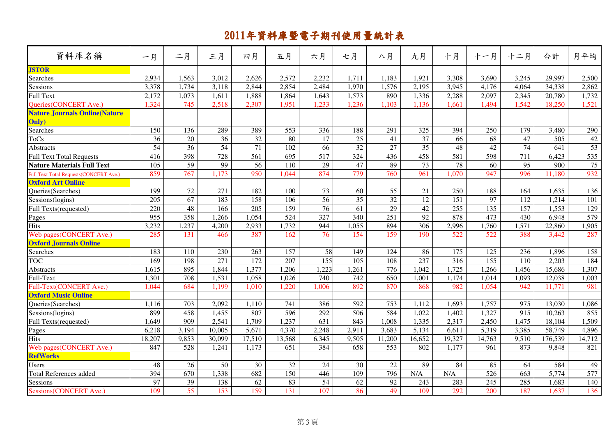| 資料庫名稱                                          | 一月              | 二月              | 三月              | 四月              | 五月     | 六月               | 七月                 | 八月              | 九月              | 十月     | 十一月    | 十二月   | 合計      | 月平均             |
|------------------------------------------------|-----------------|-----------------|-----------------|-----------------|--------|------------------|--------------------|-----------------|-----------------|--------|--------|-------|---------|-----------------|
| <b>JSTOR</b>                                   |                 |                 |                 |                 |        |                  |                    |                 |                 |        |        |       |         |                 |
| Searches                                       | 2,934           | 1,563           | 3,012           | 2,626           | 2,572  | 2,232            | 1,711              | 1,183           | 1,921           | 3,308  | 3,690  | 3,245 | 29,997  | 2,500           |
| Sessions                                       | 3,378           | 1,734           | 3,118           | 2,844           | 2,854  | 2,484            | 1,970              | 1,576           | 2,195           | 3,945  | 4,176  | 4,064 | 34,338  | 2,862           |
| <b>Full Text</b>                               | 2,172           | 1,073           | 1,611           | 1,888           | 1,864  | 1,643            | 1,573              | 890             | 1,336           | 2,288  | 2,097  | 2,345 | 20,780  | 1,732           |
| <b>Oueries(CONCERT Ave.)</b>                   | 1,324           | 745             | 2,518           | 2,307           | 1,951  | 1,233            | 1,236              | 1,103           | 1,136           | 1,661  | 1,494  | 1,542 | 18,250  | 1,521           |
| <b>Nature Journals Online (Nature</b>          |                 |                 |                 |                 |        |                  |                    |                 |                 |        |        |       |         |                 |
| Only)                                          |                 |                 |                 |                 |        |                  |                    |                 |                 |        |        |       |         |                 |
| Searches                                       | 150             | 136             | 289             | 389             | 553    | 336              | 188                | 291             | 325             | 394    | 250    | 179   | 3,480   | 290             |
| <b>ToCs</b>                                    | $\overline{36}$ | 20              | 36              | $\overline{32}$ | 80     | 17               | $\overline{25}$    | 41              | 37              | 66     | 68     | 47    | 505     | 42              |
| Abstracts                                      | $\overline{54}$ | $\overline{36}$ | $\overline{54}$ | $\overline{71}$ | 102    | 66               | 32                 | $\overline{27}$ | $\overline{35}$ | 48     | 42     | 74    | 641     | 53              |
| <b>Full Text Total Requests</b>                | 416             | 398             | 728             | 561             | 695    | 517              | 324                | 436             | 458             | 581    | 598    | 711   | 6,423   | 535             |
| <b>Nature Materials Full Text</b>              | 105             | $\overline{59}$ | 99              | $\overline{56}$ | 110    | 29               | 47                 | 89              | $\overline{73}$ | 78     | 60     | 95    | 900     | $\overline{75}$ |
| <b>Full Text Total Requests (CONCERT Ave.)</b> | 859             | 767             | 1,173           | 950             | 1,044  | 874              | 779                | 760             | 961             | 1,070  | 947    | 996   | 11,180  | 932             |
| <b>Oxford Art Online</b>                       |                 |                 |                 |                 |        |                  |                    |                 |                 |        |        |       |         |                 |
| Queries(Searches)                              | 199             | 72              | 271             | 182             | 100    | 73               | 60                 | 55              | 21              | 250    | 188    | 164   | 1,635   | 136             |
| Sessions(logins)                               | 205             | 67              | 183             | 158             | 106    | $\overline{56}$  | $\overline{35}$    | $\overline{32}$ | 12              | 151    | 97     | 112   | 1,214   | 101             |
| Full Texts(requested)                          | 220             | 48              | 166             | 205             | 159    | 76               | 61                 | 29              | $\overline{42}$ | 255    | 135    | 157   | 1,553   | 129             |
| Pages                                          | 955             | 358             | 1,266           | 1,054           | 524    | $\overline{327}$ | 340                | 251             | $\overline{92}$ | 878    | 473    | 430   | 6,948   | 579             |
| <b>Hits</b>                                    | 3,232           | 1,237           | 4,200           | 2,933           | 1,732  | 944              | $1,05\overline{5}$ | 894             | 306             | 2,996  | 1,760  | 1,571 | 22,860  | 1,905           |
| Web pages(CONCERT Ave.)                        | 285             | 131             | 466             | 387             | 162    | 76               | 154                | 159             | 190             | 522    | 522    | 388   | 3,442   | 287             |
| <b>Oxford Journals Online</b>                  |                 |                 |                 |                 |        |                  |                    |                 |                 |        |        |       |         |                 |
| <b>Searches</b>                                | 183             | 110             | 230             | 263             | 157    | 58               | 149                | 124             | 86              | 175    | 125    | 236   | 1,896   | 158             |
| <b>TOC</b>                                     | 169             | 198             | 271             | 172             | 207    | 155              | 105                | 108             | 237             | 316    | 155    | 110   | 2,203   | 184             |
| Abstracts                                      | 1,615           | 895             | 1,844           | 1,377           | 1,206  | 1,223            | 1,261              | 776             | 1,042           | 1,725  | 1,266  | 1,456 | 15,686  | 1,307           |
| Full-Text                                      | 1,301           | 708             | 1,531           | 1,058           | 1,026  | 740              | 742                | 650             | 1,001           | 1,174  | 1,014  | 1,093 | 12,038  | 1,003           |
| Full-Text(CONCERT Ave.)                        | 1,044           | 684             | 1,199           | 1,010           | 1,220  | 1,006            | 892                | 870             | 868             | 982    | 1,054  | 942   | 11,771  | 981             |
| <b>Oxford Music Online</b>                     |                 |                 |                 |                 |        |                  |                    |                 |                 |        |        |       |         |                 |
| Queries(Searches)                              | 1,116           | 703             | 2,092           | 1,110           | 741    | 386              | 592                | 753             | 1,112           | 1,693  | 1,757  | 975   | 13,030  | 1,086           |
| Sessions(logins)                               | 899             | 458             | 1,455           | 807             | 596    | 292              | 506                | 584             | 1,022           | 1,402  | 1,327  | 915   | 10,263  | 855             |
| Full Texts(requested)                          | 1,649           | 909             | 2,541           | 1,709           | 1,237  | 631              | 843                | 1,008           | 1,335           | 2,317  | 2,450  | 1,475 | 18,104  | 1,509           |
| Pages                                          | 6,218           | 3,194           | 10,005          | 5,671           | 4,370  | 2,248            | 2,911              | 3,683           | 5,134           | 6,611  | 5,319  | 3,385 | 58,749  | 4,896           |
| <b>Hits</b>                                    | 18,207          | 9,853           | 30,099          | 17,510          | 13,568 | 6,345            | 9,505              | 11,200          | 16,652          | 19,327 | 14,763 | 9,510 | 176,539 | 14,712          |
| Web pages(CONCERT Ave.)                        | 847             | 528             | 1,241           | 1,173           | 651    | 384              | 658                | 553             | 802             | 1,177  | 961    | 873   | 9,848   | 821             |
| <b>RefWorks</b>                                |                 |                 |                 |                 |        |                  |                    |                 |                 |        |        |       |         |                 |
| Users                                          | 48              | 26              | 50              | 30              | 32     | 24               | 30                 | 22              | 89              | 84     | 85     | 64    | 584     | 49              |
| <b>Total References added</b>                  | 394             | 670             | 1,338           | 682             | 150    | 446              | 109                | 796             | N/A             | N/A    | 526    | 663   | 5,774   | 577             |
| Sessions                                       | 97              | $\overline{39}$ | 138             | $\overline{62}$ | 83     | 54               | 62                 | $\overline{92}$ | 243             | 283    | 245    | 285   | 1,683   | 140             |
| Sessions(CONCERT Ave.)                         | 109             | 55              | 153             | 159             | 131    | 107              | 86                 | 49              | 109             | 292    | 200    | 187   | 1,637   | 136             |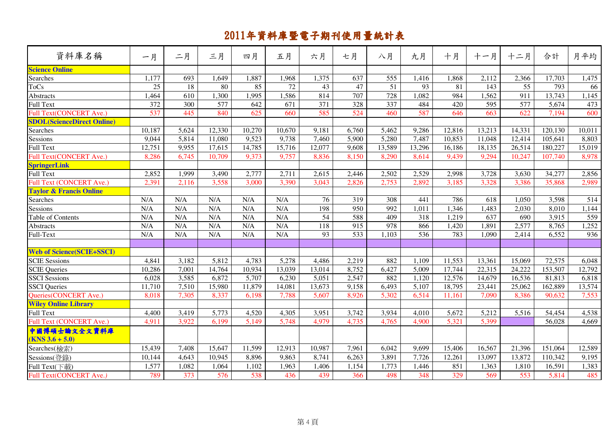| 資料庫名稱                              | 一月     | 二月    | 三月     | 四月     | 五月     | 六月              | 七月               | 八月     | 九月     | 十月     | 十一月    | 十二月    | 合計      | 月平均    |
|------------------------------------|--------|-------|--------|--------|--------|-----------------|------------------|--------|--------|--------|--------|--------|---------|--------|
| <b>Science Online</b>              |        |       |        |        |        |                 |                  |        |        |        |        |        |         |        |
| Searches                           | 1,177  | 693   | 1,649  | 1,887  | 1,968  | 1,375           | 637              | 555    | 1,416  | 1,868  | 2,112  | 2,366  | 17,703  | 1,475  |
| <b>ToCs</b>                        | 25     | 18    | 80     | 85     | 72     | 43              | 47               | 51     | 93     | 81     | 143    | 55     | 793     | 66     |
| Abstracts                          | 1,464  | 610   | 1,300  | 1,995  | 1,586  | 814             | 707              | 728    | 1,082  | 984    | 1,562  | 911    | 13,743  | 1,145  |
| <b>Full Text</b>                   | 372    | 300   | 577    | 642    | 671    | 371             | 328              | 337    | 484    | 420    | 595    | 577    | 5,674   | 473    |
| <b>Full Text(CONCERT Ave.)</b>     | 537    | 445   | 840    | 625    | 660    | 585             | 524              | 460    | 587    | 646    | 663    | 622    | 7,194   | 600    |
| <b>SDOL</b> (ScienceDirect Online) |        |       |        |        |        |                 |                  |        |        |        |        |        |         |        |
| Searches                           | 10,187 | 5,624 | 12,330 | 10,270 | 10,670 | 9,181           | 6,760            | 5,462  | 9,286  | 12,816 | 13,213 | 14,331 | 120,130 | 10,011 |
| <b>Sessions</b>                    | 9,044  | 5,814 | 11,080 | 9,523  | 9,738  | 7,460           | 5,900            | 5,280  | 7,487  | 10,853 | 11,048 | 12,414 | 105,641 | 8,803  |
| Full Text                          | 12,751 | 9,955 | 17,615 | 14,785 | 15,716 | 12,077          | 9,608            | 13,589 | 13,296 | 16,186 | 18,135 | 26,514 | 180,227 | 15,019 |
| Full Text(CONCERT Ave.)            | 8,286  | 6,745 | 10,709 | 9,373  | 9,757  | 8,836           | 8,150            | 8,290  | 8,614  | 9,439  | 9,294  | 10,247 | 107,740 | 8,978  |
| <b>SpringerLink</b>                |        |       |        |        |        |                 |                  |        |        |        |        |        |         |        |
| Full Text                          | 2,852  | 1,999 | 3,490  | 2,777  | 2,711  | 2,615           | 2,446            | 2,502  | 2,529  | 2,998  | 3,728  | 3,630  | 34,277  | 2,856  |
| Full Text (CONCERT Ave.)           | 2,391  | 2,116 | 3,558  | 3,000  | 3,390  | 3,043           | 2,826            | 2,753  | 2,892  | 3,185  | 3,328  | 3,386  | 35,868  | 2,989  |
| <b>Taylor &amp; Francis Online</b> |        |       |        |        |        |                 |                  |        |        |        |        |        |         |        |
| Searches                           | N/A    | N/A   | N/A    | N/A    | N/A    | 76              | 319              | 308    | 441    | 786    | 618    | 1,050  | 3,598   | 514    |
| <b>Sessions</b>                    | N/A    | N/A   | N/A    | N/A    | N/A    | 198             | 950              | 992    | 1,011  | 1,346  | 1,483  | 2,030  | 8,010   | 1,144  |
| Table of Contents                  | N/A    | N/A   | N/A    | N/A    | N/A    | $\overline{54}$ | 588              | 409    | 318    | 1,219  | 637    | 690    | 3,915   | 559    |
| Abstracts                          | N/A    | N/A   | N/A    | N/A    | N/A    | 118             | 915              | 978    | 866    | 1,420  | 1,891  | 2,577  | 8,765   | 1,252  |
| Full-Text                          | N/A    | N/A   | N/A    | N/A    | N/A    | 93              | $\overline{533}$ | 1,103  | 536    | 783    | 1,090  | 2,414  | 6,552   | 936    |
|                                    |        |       |        |        |        |                 |                  |        |        |        |        |        |         |        |
| <b>Web of Science(SCIE+SSCI)</b>   |        |       |        |        |        |                 |                  |        |        |        |        |        |         |        |
| <b>SCIE Sessions</b>               | 4,841  | 3,182 | 5,812  | 4,783  | 5,278  | 4,486           | 2,219            | 882    | 1,109  | 11,553 | 13,361 | 15,069 | 72,575  | 6,048  |
| <b>SCIE</b> Queries                | 10,286 | 7,001 | 14,764 | 10,934 | 13,039 | 13,014          | 8,752            | 6,427  | 5,009  | 17,744 | 22,315 | 24,222 | 153,507 | 12,792 |
| SSCI Sessions                      | 6,028  | 3,585 | 6,872  | 5,707  | 6,230  | 5,051           | 2,547            | 882    | 1,120  | 12,576 | 14,679 | 16,536 | 81,813  | 6,818  |
| <b>SSCI</b> Queries                | 11,710 | 7,510 | 15,980 | 11,879 | 14,081 | 13,673          | 9,158            | 6,493  | 5,107  | 18,795 | 23,441 | 25,062 | 162,889 | 13,574 |
| Queries(CONCERT Ave.)              | 8,018  | 7,305 | 8,337  | 6,198  | 7,788  | 5,607           | 8,926            | 5,302  | 6,514  | 11,161 | 7,090  | 8,386  | 90,632  | 7,553  |
| <b>Wiley Online Library</b>        |        |       |        |        |        |                 |                  |        |        |        |        |        |         |        |
| Full Text                          | 4,400  | 3,419 | 5,773  | 4,520  | 4,305  | 3,951           | 3,742            | 3,934  | 4,010  | 5,672  | 5,212  | 5,516  | 54,454  | 4,538  |
| Full Text (CONCERT Ave.)           | 4,911  | 3,922 | 6,199  | 5,149  | 5,748  | 4,979           | 4,735            | 4,765  | 4,900  | 5,321  | 5,399  |        | 56,028  | 4,669  |
| 中國博碩士論文全文資料庫<br>$(KNS 3.6 + 5.0)$  |        |       |        |        |        |                 |                  |        |        |        |        |        |         |        |
| Searches(檢索)                       | 15,439 | 7,408 | 15,647 | 11,599 | 12,913 | 10,987          | 7,961            | 6,042  | 9,699  | 15,406 | 16,567 | 21,396 | 151,064 | 12,589 |
| Sessions(登錄)                       | 10,144 | 4,643 | 10,945 | 8,896  | 9,863  | 8,741           | 6,263            | 3,891  | 7,726  | 12,261 | 13,097 | 13,872 | 110,342 | 9,195  |
| Full Text(下載)                      | 1,577  | 1,082 | 1,064  | 1,102  | 1,963  | 1,406           | 1,154            | 1,773  | 1,446  | 851    | 1,363  | 1,810  | 16,591  | 1,383  |
| Full Text(CONCERT Ave.)            | 789    | 373   | 576    | 538    | 436    | 439             | 366              | 498    | 348    | 329    | 569    | 553    | 5,814   | 485    |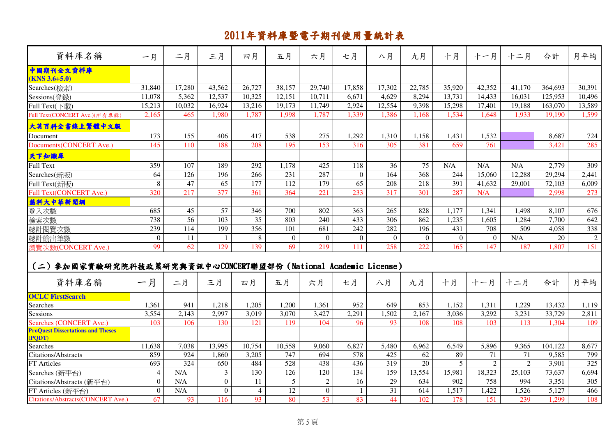| 資料庫名稱                                                                    | 一月             | 二月               | 三月              | 四月               | 五月             | 六月             | 七月             | 八月               | 九月              | 十月       | 十一月            | 十二月            | 合計      | 月平均              |
|--------------------------------------------------------------------------|----------------|------------------|-----------------|------------------|----------------|----------------|----------------|------------------|-----------------|----------|----------------|----------------|---------|------------------|
| 中國期刊全文資料庫<br>$(KNS 3.6+5.0)$                                             |                |                  |                 |                  |                |                |                |                  |                 |          |                |                |         |                  |
| Searches(檢索)                                                             | 31,840         | 17,280           | 43,562          | 26,727           | 38,157         | 29,740         | 17,858         | 17,302           | 22,785          | 35,920   | 42,352         | 41,170         | 364,693 | 30,391           |
| Sessions(登錄)                                                             | 11,078         | 5,362            | 12,537          | 10,325           | 12,151         | 10,711         | 6,671          | 4,629            | 8,294           | 13,731   | 14,433         | 16.031         | 125,953 | 10,496           |
| Full Text(下載)                                                            | 15,213         | 10,032           | 16,924          | 13,216           | 19,173         | 11,749         | 2,924          | 12,554           | 9,398           | 15,298   | 17,401         | 19,188         | 163,070 | 13,589           |
| Full Text(CONCERT Ave.)(所有專輯)                                            | 2,165          | 465              | 1.980           | 1,787            | 1,998          | 1,787          | 1,339          | 1.386            | 1.168           | 1,534    | 1.648          | 1,933          | 19,190  | 1,599            |
| 大英百科全書線上繁體中文版                                                            |                |                  |                 |                  |                |                |                |                  |                 |          |                |                |         |                  |
| Document                                                                 | 173            | 155              | 406             | 417              | 538            | 275            | 1,292          | 1,310            | 1,158           | 1,431    | 1,532          |                | 8,687   | 724              |
| Documents (CONCERT Ave.)                                                 | 145            | 110              | 188             | 208              | 195            | 153            | 316            | 305              | 381             | 659      | 761            |                | 3,421   | 285              |
| 天下知識庫                                                                    |                |                  |                 |                  |                |                |                |                  |                 |          |                |                |         |                  |
| <b>Full Text</b>                                                         | 359            | $\overline{107}$ | 189             | $\overline{292}$ | 1,178          | 425            | 118            | 36               | $\overline{75}$ | N/A      | N/A            | N/A            | 2,779   | 309              |
| Searches(新版)                                                             | 64             | 126              | 196             | 266              | 231            | 287            | $\Omega$       | 164              | 368             | 244      | 15,060         | 12,288         | 29,294  | 2,441            |
| Full Text(新版)                                                            | 8              | 47               | $\overline{65}$ | 177              | 112            | 179            | 65             | 208              | 218             | 391      | 41,632         | 29,001         | 72,103  | 6,009            |
| Full Text(CONCERT Ave.)                                                  | 320            | 217              | 377             | 361              | 364            | 221            | 233            | 317              | 301             | 287      | N/A            |                | 2,998   | 273              |
| 慧科大中華新聞網                                                                 |                |                  |                 |                  |                |                |                |                  |                 |          |                |                |         |                  |
| 登入次數                                                                     | 685            | 45               | 57              | 346              | 700            | 802            | 363            | 265              | 828             | 1,177    | 1,341          | 1,498          | 8,107   | 676              |
| 檢索次數                                                                     | 738            | 56               | 103             | 35               | 803            | 240            | 433            | 306              | 862             | 1,235    | 1,605          | 1,284          | 7,700   | 642              |
| 總計閱覽次數                                                                   | 239            | 114              | 199             | 356              | 101            | 681            | 242            | 282              | 196             | 431      | 708            | 509            | 4,058   | 338              |
| 總計輸出筆數                                                                   | $\Omega$       | 11               | $\mathbf{1}$    | 8                | $\overline{0}$ | $\Omega$       | $\Omega$       | $\boldsymbol{0}$ | $\Omega$        | $\Omega$ | $\overline{0}$ | N/A            | 20      | $\overline{2}$   |
| 瀏覽次數(CONCERT Ave.)                                                       | 99             | 62               | 129             | 139              | 69             | 219            | 111            | 258              | 222             | 165      | 147            | 187            | 1.807   | 151              |
| (二) 参加國家實驗研究院科技政策研究與資訊中心CONCERT聯盟部份 (National Academic License)<br>資料庫名稱 | 一月             | 二月               | 三月              | 四月               | 五月             | 六月             | 七月             | 八月               | 九月              | 十月       | 十一月            | 十二月            | 合計      | 月平均              |
| <b>OCLC FirstSearch</b>                                                  |                |                  |                 |                  |                |                |                |                  |                 |          |                |                |         |                  |
| Searches                                                                 | 1,361          | 941              | 1.218           | 1.205            | 1.200          | 1,361          | 952            | 649              | 853             | 1,152    | 1,311          | 1,229          | 13,432  | 1,119            |
| Sessions                                                                 | 3,554          | 2,143            | 2,997           | 3,019            | 3,070          | 3,427          | 2,291          | 1,502            | 2,167           | 3,036    | 3,292          | 3,231          | 33,729  | 2,811            |
| Searches (CONCERT Ave.)                                                  | 103            | 106              | 130             | 121              | 119            | 104            | 96             | 93               | 108             | 108      | 103            | 113            | 1,304   | 109              |
| <b>ProQuest Dissertations and Theses</b><br>(PQDT)                       |                |                  |                 |                  |                |                |                |                  |                 |          |                |                |         |                  |
| Searches                                                                 | 11,638         | 7,038            | 13,995          | 10,754           | 10,558         | 9,060          | 6,827          | 5,480            | 6,962           | 6,549    | 5,896          | 9,365          | 104,122 | 8,677            |
| Citations/Abstracts                                                      | 859            | 924              | 1,860           | 3,205            | 747            | 694            | 578            | 425              | 62              | 89       | 71             | 71             | 9,585   | 799              |
| <b>FT</b> Articles                                                       | 693            | 324              | 650             | 484              | 528            | 438            | 436            | 319              | 20              | 5        | $\overline{2}$ | $\overline{c}$ | 3,901   | $\overline{325}$ |
| Searches (新平台)                                                           | $\overline{4}$ | N/A              | $\overline{3}$  | 130              | 126            | 120            | 134            | 159              | 13,554          | 15,981   | 18,323         | 25,103         | 73,637  | 6,694            |
| Citations/Abstracts (新平台)                                                | $\overline{0}$ | N/A              | $\overline{0}$  | 11               | 5 <sup>1</sup> | $\overline{2}$ | 16             | 29               | 634             | 902      | 758            | 994            | 3,351   | 305              |
| FT Articles (新平台)                                                        | $\overline{0}$ | N/A              | $\overline{0}$  | $\overline{4}$   | 12             | $\overline{0}$ | $\overline{1}$ | 31               | 614             | 1,517    | 1,422          | 1,526          | 5,127   | 466              |
| <b>Citations/Abstracts(CONCERT Ave.)</b>                                 | 67             | 93               | 116             | 93               | 80             | 53             | 83             | 44               | 102             | 178      | 151            | 239            | 1,299   | 108              |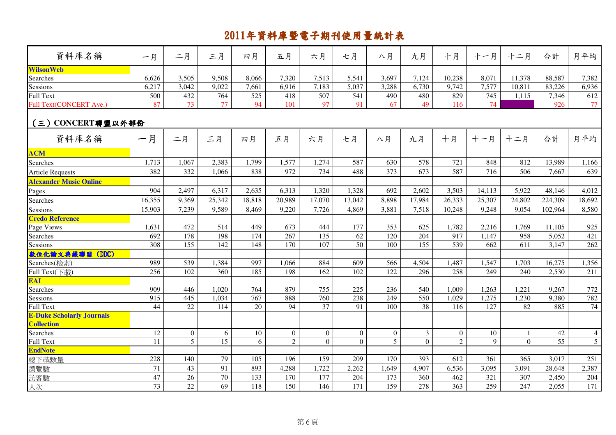| 資料庫名稱                            | 一月              | 二月               | 三月              | 四月              | 五月              | 六月              | 七月              | 八月               | 九月             | 十月               | 十一月    | 十二月            | 合計      | 月平均            |
|----------------------------------|-----------------|------------------|-----------------|-----------------|-----------------|-----------------|-----------------|------------------|----------------|------------------|--------|----------------|---------|----------------|
| <b>WilsonWeb</b>                 |                 |                  |                 |                 |                 |                 |                 |                  |                |                  |        |                |         |                |
| Searches                         | 6,626           | 3,505            | 9,508           | 8,066           | 7,320           | 7,513           | 5,541           | 3,697            | 7,124          | 10,238           | 8,071  | 11,378         | 88,587  | 7,382          |
| <b>Sessions</b>                  | 6,217           | 3,042            | 9,022           | 7,661           | 6,916           | 7,183           | 5,037           | 3,288            | 6,730          | 9,742            | 7,577  | 10,811         | 83,226  | 6,936          |
| Full Text                        | 500             | 432              | 764             | 525             | 418             | 507             | 541             | 490              | 480            | 829              | 745    | 1,115          | 7,346   | 612            |
| Full Text(CONCERT Ave.)          | 87              | 73               | $\overline{77}$ | 94              | 101             | 97              | 91              | 67               | 49             | 116              | 74     |                | 926     | 77             |
| (三) CONCERT聯盟以外部份                |                 |                  |                 |                 |                 |                 |                 |                  |                |                  |        |                |         |                |
| 資料庫名稱                            | 一月              | 二月               | 三月              | 四月              | 五月              | 六月              | 七月              | 八月               | 九月             | 十月               | 十一月    | 十二月            | 合計      | 月平均            |
| <b>ACM</b>                       |                 |                  |                 |                 |                 |                 |                 |                  |                |                  |        |                |         |                |
| Searches                         | 1,713           | 1,067            | 2,383           | 1,799           | 1,577           | 1,274           | 587             | 630              | 578            | 721              | 848    | 812            | 13,989  | 1,166          |
| <b>Article Requests</b>          | 382             | 332              | 1,066           | 838             | 972             | 734             | 488             | 373              | 673            | 587              | 716    | 506            | 7,667   | 639            |
| <b>Alexander Music Online</b>    |                 |                  |                 |                 |                 |                 |                 |                  |                |                  |        |                |         |                |
| Pages                            | 904             | 2,497            | 6,317           | 2,635           | 6,313           | 1,320           | 1,328           | 692              | 2,602          | 3,503            | 14,113 | 5,922          | 48,146  | 4,012          |
| Searches                         | 16,355          | 9,369            | 25,342          | 18,818          | 20,989          | 17,070          | 13,042          | 8,898            | 17,984         | 26,333           | 25,307 | 24,802         | 224,309 | 18,692         |
| Sessions                         | 15,903          | 7,239            | 9,589           | 8,469           | 9,220           | 7,726           | 4,869           | 3,881            | 7,518          | 10,248           | 9,248  | 9,054          | 102,964 | 8,580          |
| <b>Credo Reference</b>           |                 |                  |                 |                 |                 |                 |                 |                  |                |                  |        |                |         |                |
| Page Views                       | 1,631           | 472              | 514             | 449             | 673             | 444             | 177             | 353              | 625            | 1,782            | 2,216  | 1,769          | 11,105  | 925            |
| Searches                         | 692             | 178              | 198             | 174             | 267             | 135             | 62              | 120              | 204            | 917              | 1,147  | 958            | 5,052   | 421            |
| Sessions                         | 308             | 155              | 142             | 148             | 170             | 107             | 50              | 100              | 155            | 539              | 662    | 611            | 3,147   | 262            |
| 数位化論文典藏聯盟 (DDC)                  |                 |                  |                 |                 |                 |                 |                 |                  |                |                  |        |                |         |                |
| Searches(檢索)                     | 989             | 539              | 1,384           | 997             | 1,066           | 884             | 609             | 566              | 4,504          | 1,487            | 1,547  | 1,703          | 16,275  | 1,356          |
| Full Text(下載)                    | 256             | 102              | 360             | 185             | 198             | 162             | 102             | 122              | 296            | 258              | 249    | 240            | 2,530   | 211            |
| <b>EAI</b>                       |                 |                  |                 |                 |                 |                 |                 |                  |                |                  |        |                |         |                |
| Searches                         | 909             | 446              | 1,020           | 764             | 879             | 755             | 225             | 236              | 540            | 1,009            | 1,263  | 1,221          | 9,267   | 772            |
| Sessions                         | 915             | 445              | 1,034           | 767             | 888             | 760             | 238             | 249              | 550            | 1,029            | 1,275  | 1,230          | 9,380   | 782            |
| Full Text                        | 44              | $\overline{22}$  | 114             | $\overline{20}$ | $\overline{94}$ | $\overline{37}$ | $\overline{91}$ | 100              | 38             | $\overline{116}$ | 127    | 82             | 885     | 74             |
| <b>E-Duke Scholarly Journals</b> |                 |                  |                 |                 |                 |                 |                 |                  |                |                  |        |                |         |                |
| <b>Collection</b>                |                 |                  |                 |                 |                 |                 |                 |                  |                |                  |        |                |         |                |
| Searches                         | 12              | $\boldsymbol{0}$ | 6               | 10              | $\overline{0}$  | $\overline{0}$  | $\overline{0}$  | $\boldsymbol{0}$ | $\mathfrak{Z}$ | $\overline{0}$   | 10     | $\mathbf{1}$   | 42      | $\overline{4}$ |
| <b>Full Text</b>                 | 11              | $\overline{5}$   | $\overline{15}$ | 6               | $\overline{2}$  | $\overline{0}$  | $\overline{0}$  | 5                | $\overline{0}$ | $\overline{2}$   | 9      | $\overline{0}$ | 55      | $\overline{5}$ |
| <b>EndNote</b>                   |                 |                  |                 |                 |                 |                 |                 |                  |                |                  |        |                |         |                |
| 總下載數量                            | 228             | 140              | 79              | 105             | 196             | 159             | 209             | 170              | 393            | 612              | 361    | 365            | 3,017   | 251            |
| 瀏覽數                              | 71              | 43               | 91              | 893             | 4,288           | 1,722           | 2,262           | 1,649            | 4,907          | 6,536            | 3,095  | 3,091          | 28,648  | 2,387          |
| 訪客數                              | 47              | 26               | $\overline{70}$ | 133             | 170             | 177             | 204             | 173              | 360            | 462              | 321    | 307            | 2,450   | 204            |
| 人次                               | $\overline{73}$ | 22               | 69              | 118             | 150             | 146             | 171             | 159              | 278            | 363              | 259    | 247            | 2,055   | 171            |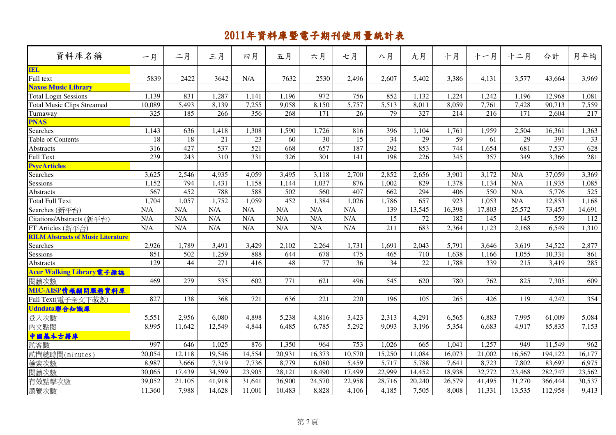| 資料庫名稱                                     | 一月     | 二月     | 三月               | 四月               | 五月     | 六月     | 七月     | 八月     | 九月     | 十月               | 十一月              | 十二月                | 合計      | 月平均    |
|-------------------------------------------|--------|--------|------------------|------------------|--------|--------|--------|--------|--------|------------------|------------------|--------------------|---------|--------|
| <b>IEL</b><br>Full text                   |        |        |                  |                  |        |        |        |        |        |                  |                  |                    |         |        |
|                                           | 5839   | 2422   | 3642             | N/A              | 7632   | 2530   | 2,496  | 2,607  | 5,402  | 3,386            | 4,131            | 3,577              | 43,664  | 3,969  |
| <b>Naxos Music Library</b>                |        |        |                  |                  |        |        |        |        |        |                  |                  |                    |         |        |
| Total Login Sessions                      | 1,139  | 831    | 1,287            | 1,141            | 1,196  | 972    | 756    | 852    | 1,132  | 1,224            | 1,242            | 1,196              | 12,968  | 1,081  |
| <b>Total Music Clips Streamed</b>         | 10,089 | 5,493  | 8,139            | 7,255            | 9,058  | 8,150  | 5,757  | 5,513  | 8,011  | 8,059            | 7,761            | 7,428              | 90,713  | 7,559  |
| Turnaway                                  | 325    | 185    | 266              | 356              | 268    | 171    | 26     | 79     | 327    | 214              | 216              | 171                | 2,604   | 217    |
| <b>PNAS</b>                               |        |        |                  |                  |        |        |        |        |        |                  |                  |                    |         |        |
| Searches                                  | 1,143  | 636    | 1,418            | 1,308            | 1,590  | 1,726  | 816    | 396    | 1,104  | 1,761            | 1,959            | 2,504              | 16,361  | 1,363  |
| Table of Contents                         | 18     | $18\,$ | 21               | 23               | 60     | 30     | 15     | 34     | 29     | 59               | 61               | 29                 | 397     | 33     |
| Abstracts                                 | 316    | 427    | 537              | 521              | 668    | 657    | 187    | 292    | 853    | 744              | 1,654            | 681                | 7,537   | 628    |
| Full Text                                 | 239    | 243    | $\overline{310}$ | $\overline{331}$ | 326    | 301    | 141    | 198    | 226    | $\frac{345}{ }$  | $\overline{357}$ | 349                | 3,366   | 281    |
| <b>PsycArticles</b>                       |        |        |                  |                  |        |        |        |        |        |                  |                  |                    |         |        |
| Searches                                  | 3,625  | 2,546  | 4,935            | 4,059            | 3,495  | 3,118  | 2,700  | 2,852  | 2,656  | 3,901            | 3,172            | N/A                | 37,059  | 3,369  |
| Sessions                                  | 1,152  | 794    | 1,431            | 1,158            | 1,144  | 1,037  | 876    | 1,002  | 829    | 1,378            | 1,134            | N/A                | 11,935  | 1,085  |
| Abstracts                                 | 567    | 452    | 788              | 588              | 502    | 560    | 407    | 662    | 294    | 406              | 550              | N/A                | 5,776   | 525    |
| <b>Total Full Text</b>                    | 1,704  | 1,057  | 1,752            | 1,059            | 452    | 1,384  | 1,026  | 1,786  | 657    | $\overline{923}$ | 1,053            | N/A                | 12,853  | 1,168  |
| Searches (新平台)                            | N/A    | N/A    | N/A              | N/A              | N/A    | N/A    | N/A    | 139    | 13,545 | 16,398           | 17,803           | 25,572             | 73,457  | 14,691 |
| Citations/Abstracts (新平台)                 | N/A    | N/A    | N/A              | N/A              | N/A    | N/A    | N/A    | 15     | 72     | 182              | 145              | 145                | 559     | 112    |
| FT Articles (新平台)                         | N/A    | N/A    | N/A              | N/A              | N/A    | N/A    | N/A    | 211    | 683    | 2,364            | 1,123            | 2,168              | 6,549   | 1,310  |
| <b>RILM Abstracts of Music Literature</b> |        |        |                  |                  |        |        |        |        |        |                  |                  |                    |         |        |
| Searches                                  | 2,926  | 1,789  | 3,491            | 3,429            | 2,102  | 2,264  | 1,731  | 1,691  | 2,043  | 5,791            | 3,646            | 3,619              | 34,522  | 2,877  |
| Sessions                                  | 851    | 502    | 1,259            | 888              | 644    | 678    | 475    | 465    | 710    | 1,638            | 1,166            | $1,05\overline{5}$ | 10,331  | 861    |
| Abstracts                                 | 129    | 44     | 271              | 416              | 48     | 77     | 36     | 34     | 22     | 1,788            | 339              | 215                | 3,419   | 285    |
| Acer Walking Library電子雜誌                  |        |        |                  |                  |        |        |        |        |        |                  |                  |                    |         |        |
| 閱讀次數                                      | 469    | 279    | 535              | 602              | 771    | 621    | 496    | 545    | 620    | 780              | 762              | 825                | 7,305   | 609    |
| MIC-AISP情報顧問服務資料庫                         |        |        |                  |                  |        |        |        |        |        |                  |                  |                    |         |        |
| Full Text(電子全文下載數)                        | 827    | 138    | 368              | 721              | 636    | 221    | 220    | 196    | 105    | 265              | 426              | 119                | 4,242   | 354    |
| Udndata聯合知識庫                              |        |        |                  |                  |        |        |        |        |        |                  |                  |                    |         |        |
| 登入次數                                      | 5,551  | 2,956  | 6,080            | 4,898            | 5,238  | 4,816  | 3,423  | 2,313  | 4,291  | 6,565            | 6,883            | 7,995              | 61,009  | 5,084  |
| 內文點閱                                      | 8,995  | 11,642 | 12,549           | 4,844            | 6,485  | 6,785  | 5,292  | 9,093  | 3,196  | 5,354            | 6,683            | 4,917              | 85,835  | 7,153  |
| 中國基本古籍庫                                   |        |        |                  |                  |        |        |        |        |        |                  |                  |                    |         |        |
| 訪客數                                       | 997    | 646    | 1,025            | 876              | 1,350  | 964    | 753    | 1,026  | 665    | 1,041            | 1,257            | 949                | 11,549  | 962    |
| 訪問總時間(minutes)                            | 20,054 | 12,118 | 19,546           | 14,554           | 20,931 | 16,373 | 10,570 | 15,250 | 11,084 | 16,073           | 21,002           | 16,567             | 194,122 | 16,177 |
| 檢索次數                                      | 8,987  | 3,666  | 7,319            | 7,736            | 8,779  | 6,080  | 5,459  | 5,717  | 5,788  | 7,641            | 8,723            | 7,802              | 83,697  | 6,975  |
| 閱讀次數                                      | 30,065 | 17,439 | 34,599           | 23,905           | 28,121 | 18,490 | 17,499 | 22,999 | 14,452 | 18,938           | 32,772           | 23,468             | 282,747 | 23,562 |
|                                           |        |        |                  |                  |        |        |        |        |        |                  |                  |                    |         |        |
| 有效點擊次數                                    | 39,052 | 21,105 | 41,918           | 31,641           | 36,900 | 24,570 | 22,958 | 28,716 | 20,240 | 26,579           | 41,495           | 31,270             | 366,444 | 30,537 |
| 瀏覽次數                                      | 11,360 | 7,988  | 14,628           | 11,001           | 10,483 | 8,828  | 4,106  | 4,185  | 7,505  | 8,008            | 11,331           | 13,535             | 112,958 | 9,413  |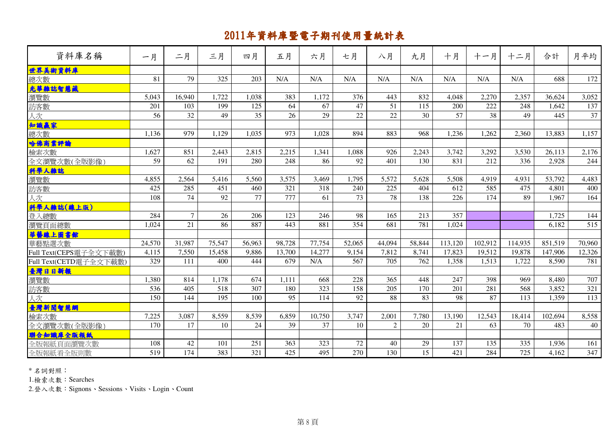| 資料庫名稱                       | 一月     | 二月             | 三月     | 四月              | 五月     | 六月     | 七月              | 八月             | 九月     | 十月              | 十一月     | 十二月     | 合計      | 月平均    |
|-----------------------------|--------|----------------|--------|-----------------|--------|--------|-----------------|----------------|--------|-----------------|---------|---------|---------|--------|
| 世界美術資料庫                     |        |                |        |                 |        |        |                 |                |        |                 |         |         |         |        |
| 總次數                         | 81     | 79             | 325    | 203             | N/A    | N/A    | N/A             | N/A            | N/A    | N/A             | N/A     | N/A     | 688     | 172    |
| 光華雜誌智慧藏                     |        |                |        |                 |        |        |                 |                |        |                 |         |         |         |        |
| 瀏覽數                         | 5,043  | 16,940         | 1,722  | 1,038           | 383    | 1,172  | 376             | 443            | 832    | 4,048           | 2,270   | 2,357   | 36,624  | 3,052  |
| 訪客數                         | 201    | 103            | 199    | 125             | 64     | 67     | 47              | 51             | 115    | 200             | 222     | 248     | 1,642   | 137    |
| 人次                          | 56     | 32             | 49     | $\overline{35}$ | 26     | 29     | $\overline{22}$ | 22             | 30     | $\overline{57}$ | 38      | 49      | 445     | 37     |
| 知識赢家                        |        |                |        |                 |        |        |                 |                |        |                 |         |         |         |        |
|                             | 1,136  | 979            | 1,129  | 1,035           | 973    | 1,028  | 894             | 883            | 968    | 1,236           | 1,262   | 2,360   | 13,883  | 1,157  |
| 哈佛商業評論                      |        |                |        |                 |        |        |                 |                |        |                 |         |         |         |        |
| 檢索次數                        | 1,627  | 851            | 2,443  | 2,815           | 2,215  | 1,341  | 1,088           | 926            | 2,243  | 3,742           | 3,292   | 3,530   | 26,113  | 2,176  |
| 全文瀏覽次數(全版影像)                | 59     | 62             | 191    | 280             | 248    | 86     | 92              | 401            | 130    | 831             | 212     | 336     | 2,928   | 244    |
| 科學人雜誌                       |        |                |        |                 |        |        |                 |                |        |                 |         |         |         |        |
| 瀏覽數                         | 4,855  | 2,564          | 5,416  | 5,560           | 3,575  | 3,469  | 1,795           | 5,572          | 5,628  | 5,508           | 4,919   | 4,931   | 53,792  | 4,483  |
| 訪客數                         | 425    | 285            | 451    | 460             | 321    | 318    | 240             | 225            | 404    | 612             | 585     | 475     | 4,801   | 400    |
| 人次                          | 108    | 74             | 92     | 77              | 777    | 61     | 73              | 78             | 138    | 226             | 174     | 89      | 1,967   | 164    |
| 科學人雜誌(線上版)                  |        |                |        |                 |        |        |                 |                |        |                 |         |         |         |        |
| 登入總數                        | 284    | $\overline{7}$ | 26     | 206             | 123    | 246    | 98              | 165            | 213    | 357             |         |         | 1,725   | 144    |
| 瀏覽頁面總數                      | 1,024  | 21             | 86     | 887             | 443    | 881    | 354             | 681            | 781    | 1,024           |         |         | 6,182   | 515    |
| 華藝線上圖書館                     |        |                |        |                 |        |        |                 |                |        |                 |         |         |         |        |
| 華藝點選次數                      | 24,570 | 31,987         | 75,547 | 56,963          | 98,728 | 77,754 | 52,065          | 44,094         | 58,844 | 113,120         | 102,912 | 114,935 | 851,519 | 70,960 |
| Full Text(CEPS電子全文下載數)      | 4,115  | 7,550          | 15,458 | 9,886           | 13,700 | 14,277 | 9,154           | 7,812          | 8,741  | 17,823          | 19,512  | 19,878  | 147,906 | 12,326 |
| Full Text(CETD電子全文下載數)      | 329    | 111            | 400    | 444             | 679    | N/A    | 567             | 705            | 762    | 1,358           | 1,513   | 1,722   | 8,590   | 781    |
| 臺灣日日新報                      |        |                |        |                 |        |        |                 |                |        |                 |         |         |         |        |
| 瀏覽數                         | 1,380  | 814            | 1,178  | 674             | 1.111  | 668    | 228             | 365            | 448    | 247             | 398     | 969     | 8,480   | 707    |
| 訪客數                         | 536    | 405            | 518    | 307             | 180    | 323    | 158             | 205            | 170    | 201             | 281     | 568     | 3,852   | 321    |
| 人次                          | 150    | 144            | 195    | 100             | 95     | 114    | 92              | 88             | 83     | 98              | 87      | 113     | 1,359   | 113    |
| 。<br><b>臺灣新聞智慧網</b><br>檢索次數 |        |                |        |                 |        |        |                 |                |        |                 |         |         |         |        |
|                             | 7,225  | 3,087          | 8,559  | 8,539           | 6,859  | 10,750 | 3,747           | 2,001          | 7,780  | 13,190          | 12,543  | 18,414  | 102,694 | 8,558  |
| 全文瀏覽次數(全版影像)                | 170    | 17             | 10     | 24              | 39     | 37     | 10              | $\overline{2}$ | 20     | 21              | 63      | 70      | 483     | 40     |
| 聯合知識庫全版報紙                   |        |                |        |                 |        |        |                 |                |        |                 |         |         |         |        |
| 全版報紙頁面瀏覽次數                  | 108    | 42             | 101    | 251             | 363    | 323    | 72              | 40             | 29     | 137             | 135     | 335     | 1,936   | 161    |
| 全版報紙看全版則數                   | 519    | 174            | 383    | 321             | 425    | 495    | 270             | 130            | 15     | 421             | 284     | 725     | 4,162   | 347    |

\* 名詞對照:

1.檢索次數:Searches

2.登入次數:Signons、Sessions、Visits、Login、Count